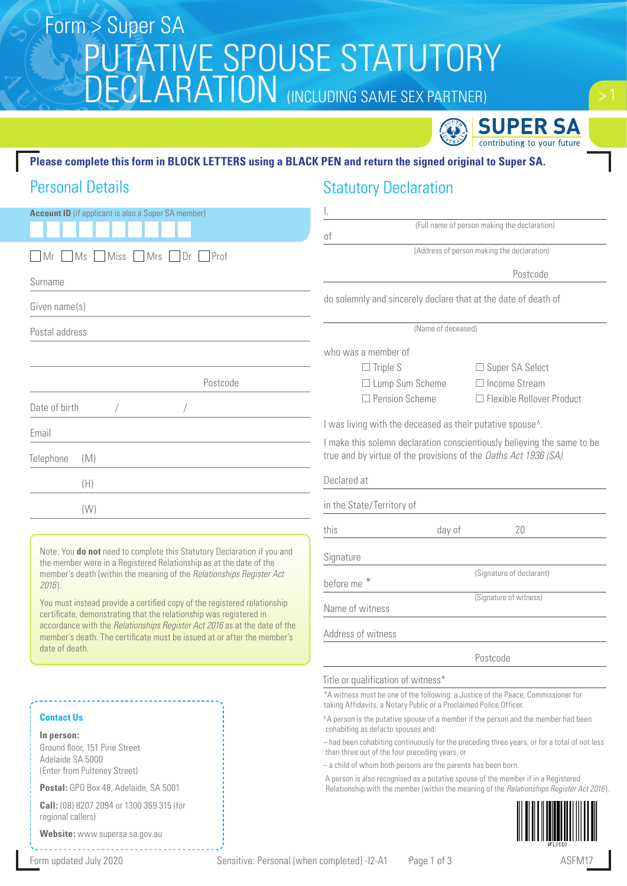# PUTATIVE SPOUSE STATUTORY DECLARATION (INCLUDING SAME SEX PARTNER) Form > Super SA



#### **Please complete this form in BLOCK LETTERS using a BLACK PEN and return the signed original to Super SA.**

### Personal Details

### Statutory Declaration

| <b>Account ID</b> (if applicant is also a Super SA member)                                                                                              |                                                                                                                                                                                |  |  |  |
|---------------------------------------------------------------------------------------------------------------------------------------------------------|--------------------------------------------------------------------------------------------------------------------------------------------------------------------------------|--|--|--|
|                                                                                                                                                         | (Full name of person making the declaration)<br>of                                                                                                                             |  |  |  |
| MS<br>Miss Mrs<br>$\Box$ Prof<br>l Mr<br>1Dr.                                                                                                           | (Address of person making the declaration)                                                                                                                                     |  |  |  |
| Surname                                                                                                                                                 | Postcode                                                                                                                                                                       |  |  |  |
| Given name(s)                                                                                                                                           | do solemnly and sincerely declare that at the date of death of                                                                                                                 |  |  |  |
| Postal address                                                                                                                                          | (Name of deceased)                                                                                                                                                             |  |  |  |
|                                                                                                                                                         | who was a member of<br>$\Box$ Triple S<br>□ Super SA Select                                                                                                                    |  |  |  |
| Postcode                                                                                                                                                | $\Box$ Income Stream<br>$\Box$ Lump Sum Scheme                                                                                                                                 |  |  |  |
| Date of birth                                                                                                                                           | $\Box$ Pension Scheme<br>$\Box$ Flexible Rollover Product                                                                                                                      |  |  |  |
| Email                                                                                                                                                   | I was living with the deceased as their putative spouse <sup>^</sup> .                                                                                                         |  |  |  |
| Telephone<br>(M)                                                                                                                                        | I make this solemn declaration conscientiously believing the same to be<br>true and by virtue of the provisions of the Oaths Act 1936 (SA).                                    |  |  |  |
| (H)                                                                                                                                                     | Declared at                                                                                                                                                                    |  |  |  |
| (W)                                                                                                                                                     | in the State/Territory of                                                                                                                                                      |  |  |  |
|                                                                                                                                                         | this<br>day of<br>20                                                                                                                                                           |  |  |  |
| Note: You do not need to complete this Statutory Declaration if you and                                                                                 | Signature                                                                                                                                                                      |  |  |  |
| the member were in a Registered Relationship as at the date of the<br>member's death (within the meaning of the Relationships Register Act<br>$2016$ ). | (Signature of declarant)<br>before me *                                                                                                                                        |  |  |  |
| You must instead provide a certified copy of the registered relationship<br>certificate, demonstrating that the relationship was registered in          | (Signature of witness)<br>Name of witness                                                                                                                                      |  |  |  |
| accordance with the Relationships Register Act 2016 as at the date of the<br>member's death. The certificate must be issued at or after the member's    | Address of witness                                                                                                                                                             |  |  |  |
| date of death.                                                                                                                                          | Postcode                                                                                                                                                                       |  |  |  |
|                                                                                                                                                         | Title or qualification of witness*                                                                                                                                             |  |  |  |
|                                                                                                                                                         | *A witness must be one of the following: a Justice of the Peace, Commissioner for<br>taking Affidavits, a Notary Public or a Proclaimed Police Officer.                        |  |  |  |
| <b>Contact Us</b>                                                                                                                                       | ^A person is the putative spouse of a member if the person and the member had been<br>cohabiting as defacto spouses and:                                                       |  |  |  |
| In person:<br>Ground floor, 151 Pirie Street                                                                                                            | - had been cohabiting continuously for the preceding three years, or for a total of not less                                                                                   |  |  |  |
| Adelaide SA 5000                                                                                                                                        | than three out of the four preceding years, or<br>- a child of whom both persons are the parents has been born.                                                                |  |  |  |
| (Enter from Pulteney Street)<br>Postal: GPO Box 48, Adelaide, SA 5001                                                                                   | A person is also recognised as a putative spouse of the member if in a Registered<br>Relationship with the member (within the meaning of the Relationships Register Act 2016). |  |  |  |

**Postal:** GPO Box 48, Adelaide, SA 5001

**Call:** (08) 8207 2094 or 1300 369 315 (for regional callers)

**Website:** www.supersa.sa.gov.au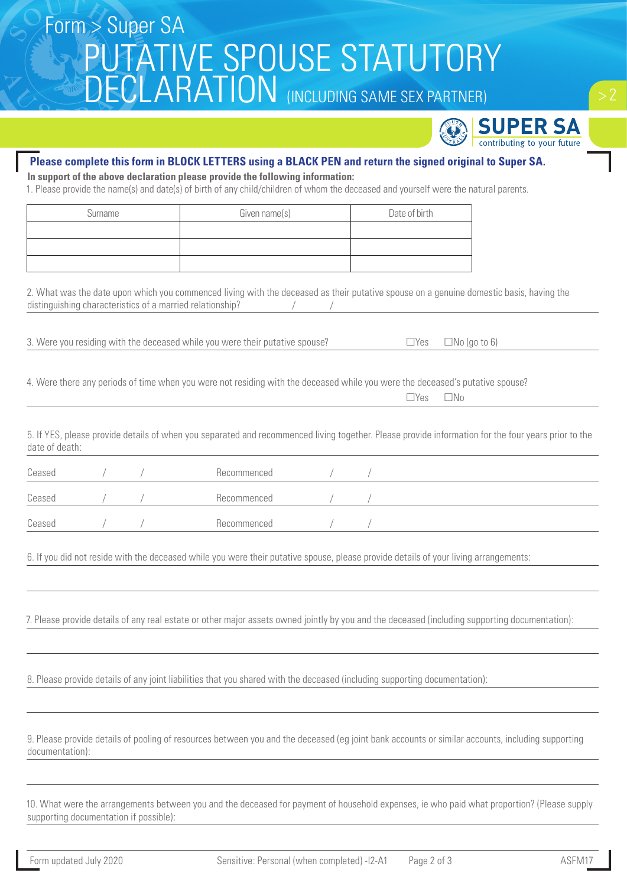# PUTATIVE SPOUSE STATUTORY DECLARATION (INCLUDING SAME SEX PARTNER) Form > Super SA



#### **Please complete this form in BLOCK LETTERS using a BLACK PEN and return the signed original to Super SA.**

**In support of the above declaration please provide the following information:**

1. Please provide the name(s) and date(s) of birth of any child/children of whom the deceased and yourself were the natural parents.

| Surname | Given name(s) | Date of birth |
|---------|---------------|---------------|
|         |               |               |
|         |               |               |
|         |               |               |

2. What was the date upon which you commenced living with the deceased as their putative spouse on a genuine domestic basis, having the distinguishing characteristics of a married relationship?

3. Were you residing with the deceased while you were their putative spouse?  $\Box$  Yes  $\Box$  No (go to 6)

4. Were there any periods of time when you were not residing with the deceased while you were the deceased's putative spouse?

| $\Box$ Yes $\Box$ No |
|----------------------|
|----------------------|

5. If YES, please provide details of when you separated and recommenced living together. Please provide information for the four years prior to the date of death:

| Ceased |  | Recommenced |  |  |
|--------|--|-------------|--|--|
| Ceased |  | Recommenced |  |  |
| Ceased |  | Recommenced |  |  |

6. If you did not reside with the deceased while you were their putative spouse, please provide details of your living arrangements:

7. Please provide details of any real estate or other major assets owned jointly by you and the deceased (including supporting documentation):

8. Please provide details of any joint liabilities that you shared with the deceased (including supporting documentation):

9. Please provide details of pooling of resources between you and the deceased (eg joint bank accounts or similar accounts, including supporting documentation):

10. What were the arrangements between you and the deceased for payment of household expenses, ie who paid what proportion? (Please supply supporting documentation if possible):